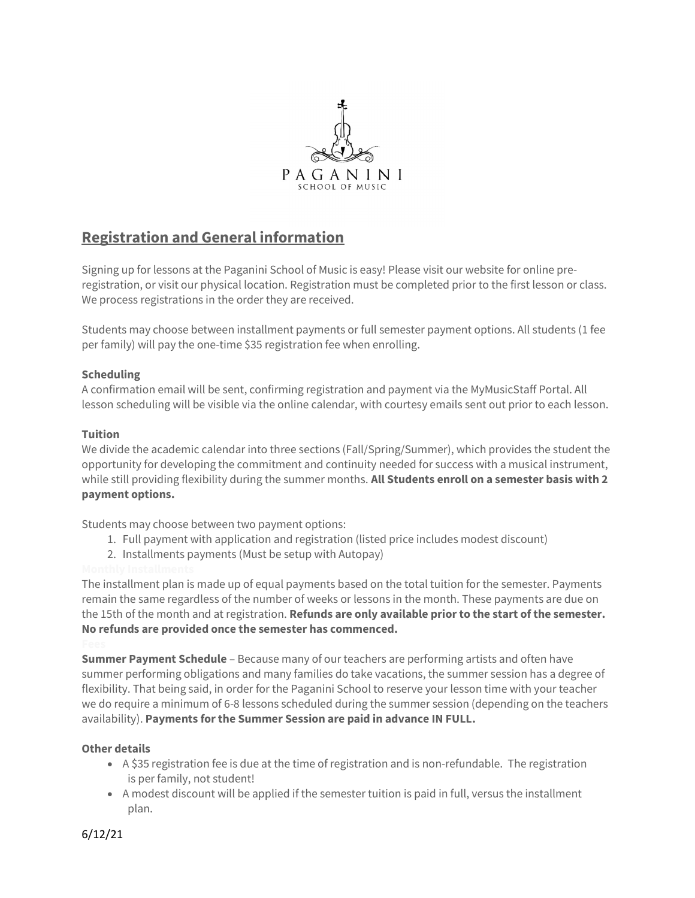

# Registration and General information

Signing up for lessons at the Paganini School of Music is easy! Please visit our website for online preregistration, or visit our physical location. Registration must be completed prior to the first lesson or class. We process registrations in the order they are received.

Students may choose between installment payments or full semester payment options. All students (1 fee per family) will pay the one-time \$35 registration fee when enrolling.

### Scheduling

A confirmation email will be sent, confirming registration and payment via the MyMusicStaff Portal. All lesson scheduling will be visible via the online calendar, with courtesy emails sent out prior to each lesson.

#### Tuition

We divide the academic calendar into three sections (Fall/Spring/Summer), which provides the student the opportunity for developing the commitment and continuity needed for success with a musical instrument, while still providing flexibility during the summer months. All Students enroll on a semester basis with 2 payment options.

Students may choose between two payment options:

- 1. Full payment with application and registration (listed price includes modest discount)
- 2. Installments payments (Must be setup with Autopay)

The installment plan is made up of equal payments based on the total tuition for the semester. Payments remain the same regardless of the number of weeks or lessons in the month. These payments are due on the 15th of the month and at registration. Refunds are only available prior to the start of the semester. No refunds are provided once the semester has commenced.

**Summer Payment Schedule** – Because many of our teachers are performing artists and often have summer performing obligations and many families do take vacations, the summer session has a degree of flexibility. That being said, in order for the Paganini School to reserve your lesson time with your teacher we do require a minimum of 6-8 lessons scheduled during the summer session (depending on the teachers availability). Payments for the Summer Session are paid in advance IN FULL.

#### Other details

- A \$35 registration fee is due at the time of registration and is non-refundable. The registration is per family, not student!
- A modest discount will be applied if the semester tuition is paid in full, versus the installment plan.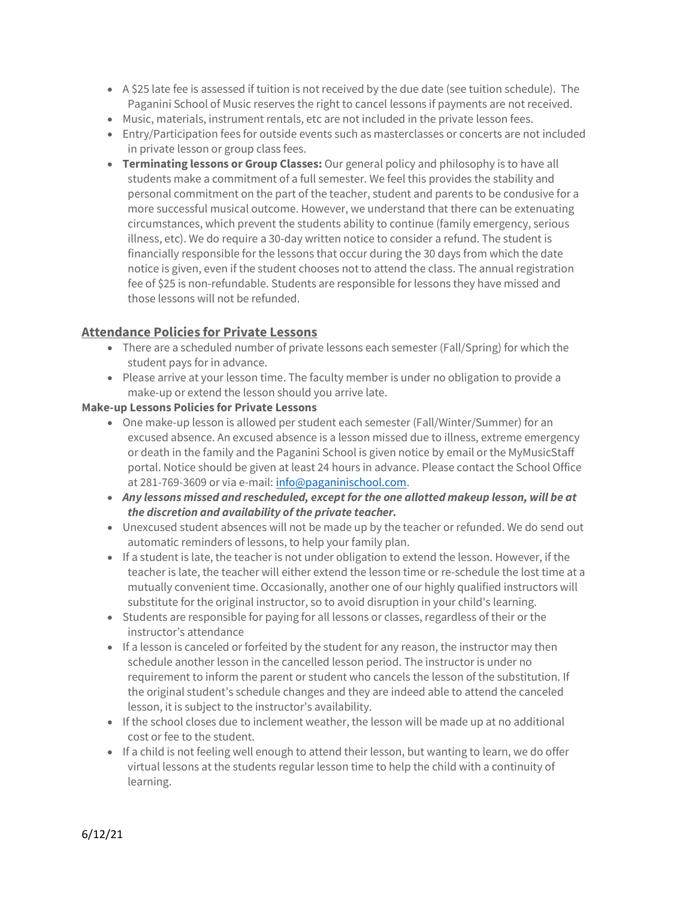- A \$25 late fee is assessed if tuition is not received by the due date (see tuition schedule). The Paganini School of Music reserves the right to cancel lessons if payments are not received.
- Music, materials, instrument rentals, etc are not included in the private lesson fees.
- Entry/Participation fees for outside events such as masterclasses or concerts are not included in private lesson or group class fees.
- Terminating lessons or Group Classes: Our general policy and philosophy is to have all students make a commitment of a full semester. We feel this provides the stability and personal commitment on the part of the teacher, student and parents to be condusive for a more successful musical outcome. However, we understand that there can be extenuating circumstances, which prevent the students ability to continue (family emergency, serious illness, etc). We do require a 30-day written notice to consider a refund. The student is financially responsible for the lessons that occur during the 30 days from which the date notice is given, even if the student chooses not to attend the class. The annual registration fee of \$25 is non-refundable. Students are responsible for lessons they have missed and those lessons will not be refunded.

# Attendance Policies for Private Lessons

- There are a scheduled number of private lessons each semester (Fall/Spring) for which the student pays for in advance.
- Please arrive at your lesson time. The faculty member is under no obligation to provide a make-up or extend the lesson should you arrive late.

### Make-up Lessons Policies for Private Lessons

- One make-up lesson is allowed per student each semester (Fall/Winter/Summer) for an excused absence. An excused absence is a lesson missed due to illness, extreme emergency or death in the family and the Paganini School is given notice by email or the MyMusicStaff portal. Notice should be given at least 24 hours in advance. Please contact the School Office at 281-769-3609 or via e-mail: info@paganinischool.com.
- Any lessons missed and rescheduled, except for the one allotted makeup lesson, will be at the discretion and availability of the private teacher.
- Unexcused student absences will not be made up by the teacher or refunded. We do send out automatic reminders of lessons, to help your family plan.
- If a student is late, the teacher is not under obligation to extend the lesson. However, if the teacher is late, the teacher will either extend the lesson time or re-schedule the lost time at a mutually convenient time. Occasionally, another one of our highly qualified instructors will substitute for the original instructor, so to avoid disruption in your child's learning.
- Students are responsible for paying for all lessons or classes, regardless of their or the instructor's attendance
- If a lesson is canceled or forfeited by the student for any reason, the instructor may then schedule another lesson in the cancelled lesson period. The instructor is under no requirement to inform the parent or student who cancels the lesson of the substitution. If the original student's schedule changes and they are indeed able to attend the canceled lesson, it is subject to the instructor's availability.
- If the school closes due to inclement weather, the lesson will be made up at no additional cost or fee to the student.
- If a child is not feeling well enough to attend their lesson, but wanting to learn, we do offer virtual lessons at the students regular lesson time to help the child with a continuity of learning.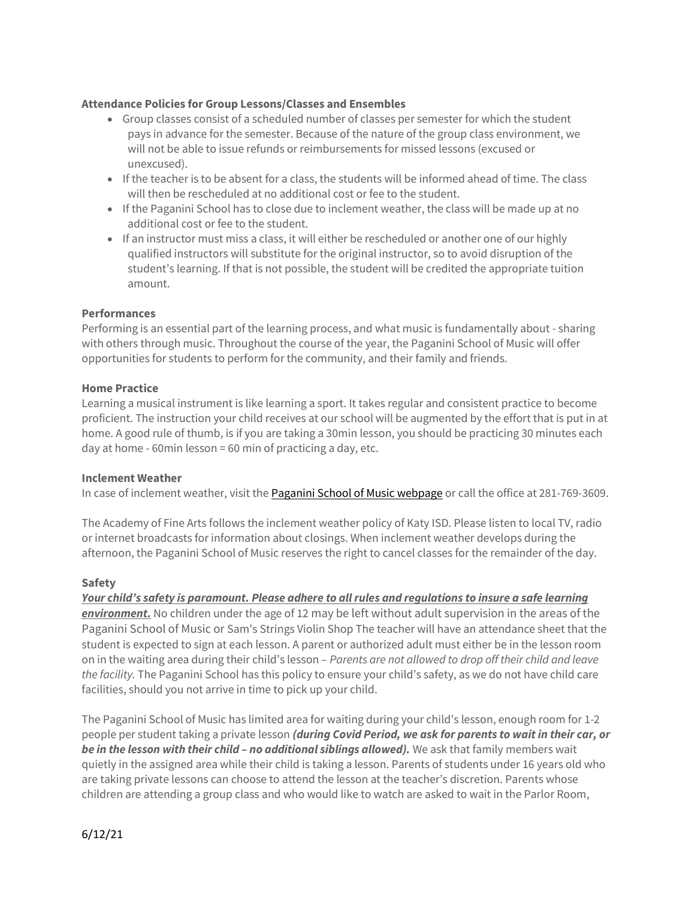#### Attendance Policies for Group Lessons/Classes and Ensembles

- Group classes consist of a scheduled number of classes per semester for which the student pays in advance for the semester. Because of the nature of the group class environment, we will not be able to issue refunds or reimbursements for missed lessons (excused or unexcused).
- If the teacher is to be absent for a class, the students will be informed ahead of time. The class will then be rescheduled at no additional cost or fee to the student.
- If the Paganini School has to close due to inclement weather, the class will be made up at no additional cost or fee to the student.
- If an instructor must miss a class, it will either be rescheduled or another one of our highly qualified instructors will substitute for the original instructor, so to avoid disruption of the student's learning. If that is not possible, the student will be credited the appropriate tuition amount.

### Performances

Performing is an essential part of the learning process, and what music is fundamentally about - sharing with others through music. Throughout the course of the year, the Paganini School of Music will offer opportunities for students to perform for the community, and their family and friends.

### Home Practice

Learning a musical instrument is like learning a sport. It takes regular and consistent practice to become proficient. The instruction your child receives at our school will be augmented by the effort that is put in at home. A good rule of thumb, is if you are taking a 30min lesson, you should be practicing 30 minutes each day at home - 60min lesson = 60 min of practicing a day, etc.

#### Inclement Weather

In case of inclement weather, visit the Paganini School of Music webpage or call the office at 281-769-3609.

The Academy of Fine Arts follows the inclement weather policy of Katy ISD. Please listen to local TV, radio or internet broadcasts for information about closings. When inclement weather develops during the afternoon, the Paganini School of Music reserves the right to cancel classes for the remainder of the day.

## Safety

Your child's safety is paramount. Please adhere to all rules and regulations to insure a safe learning environment. No children under the age of 12 may be left without adult supervision in the areas of the Paganini School of Music or Sam's Strings Violin Shop The teacher will have an attendance sheet that the student is expected to sign at each lesson. A parent or authorized adult must either be in the lesson room on in the waiting area during their child's lesson – Parents are not allowed to drop off their child and leave the facility. The Paganini School has this policy to ensure your child's safety, as we do not have child care facilities, should you not arrive in time to pick up your child.

The Paganini School of Music has limited area for waiting during your child's lesson, enough room for 1-2 people per student taking a private lesson (during Covid Period, we ask for parents to wait in their car, or be in the lesson with their child - no additional siblings allowed). We ask that family members wait quietly in the assigned area while their child is taking a lesson. Parents of students under 16 years old who are taking private lessons can choose to attend the lesson at the teacher's discretion. Parents whose children are attending a group class and who would like to watch are asked to wait in the Parlor Room,